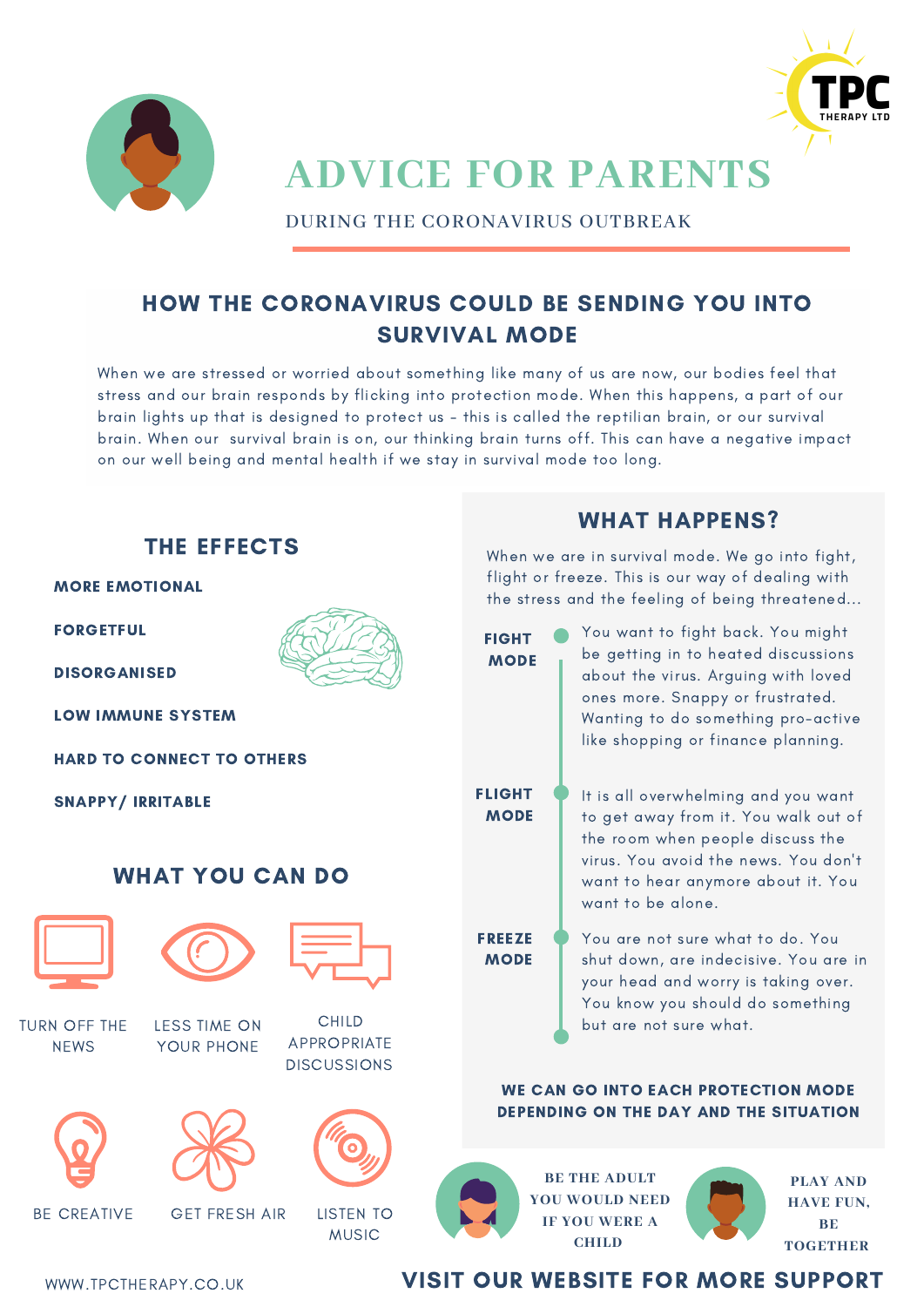



# **ADVICE FOR PARENTS**

DURING THE CORONAVIRUS OUTBREAK

## HOW THE CORONAVIRUS COULD BE SENDING YOU INTO SURVIVAL MODE

When we are stressed or worried about something like many of us are now, our bodies feel that stress and our brain responds by flicking into protection mode. When this happens, a part of our brain lights up that is designed to protect us - this is called the reptilian brain, or our survival brain. When our survival brain is on, our thinking brain turns off. This can have a negative impact on our well being and mental health if we stay in survival mode too long.



### WWW.TPCTHERAPY.CO.UK **VISIT OUR WEBSITE FOR MORE SUPPORT**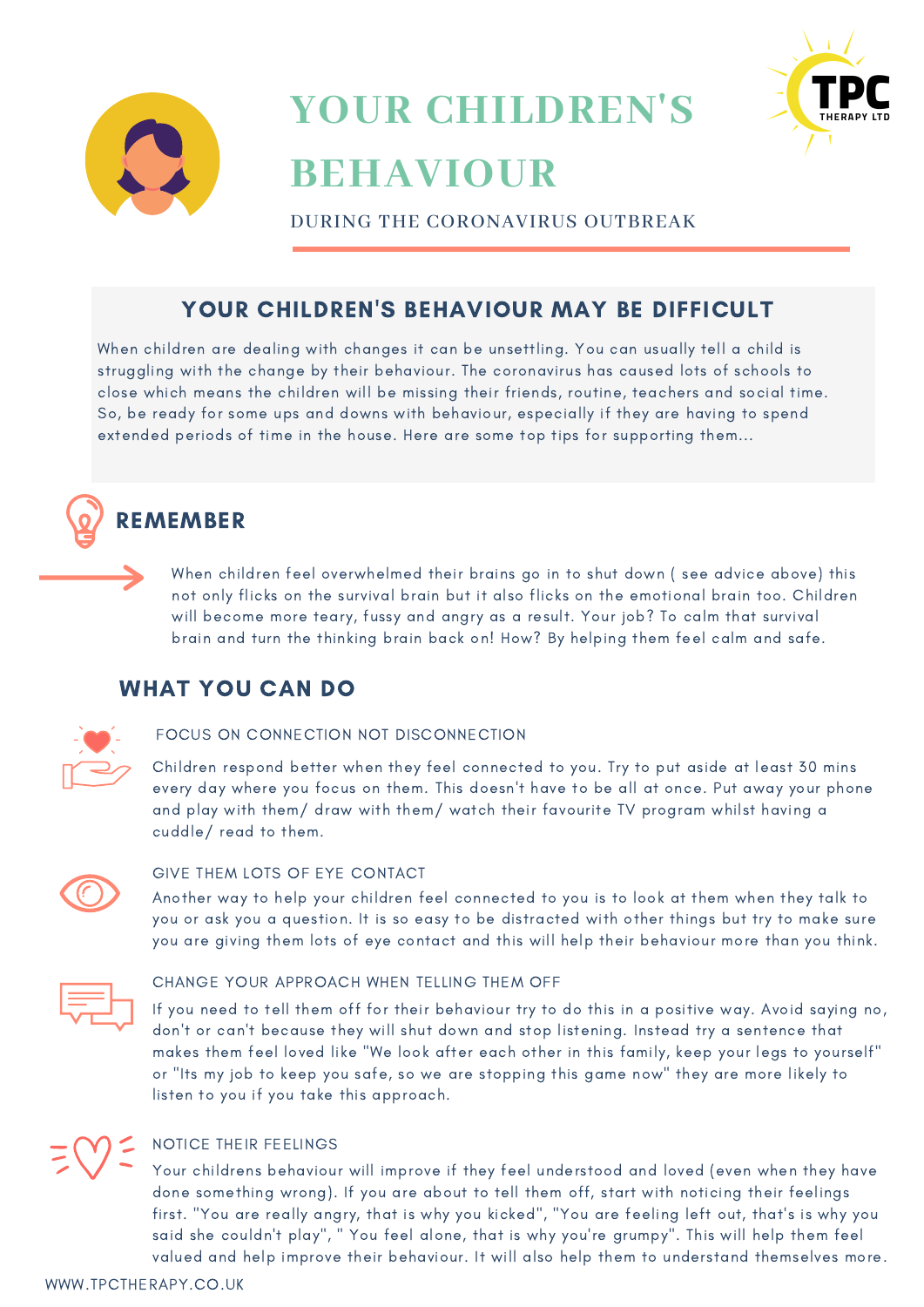



# **YOUR CHILDREN'S BEHAVIOUR**

DURING THE CORONAVIRUS OUTBREAK

### YOUR CHILDREN'S BEHAVIOUR MAY BE DIFFICULT

When children are dealing with changes it can be unsettling. You can usually tell a child is struggling with the change by their behaviour. The coronavirus has caused lots of schools to close which means the children will be missing their friends, routine, teachers and social time. So, be ready for some ups and downs with behaviour, especially if they are having to spend extended periods of time in the house. Here are some top tips for supporting them...

# **REMEMBER**

When children feel overwhelmed their brains go in to shut down ( see advice above) this not only flicks on the survival brain but it also flicks on the emotional brain too. Children will become more teary, fussy and angry as a result. Your job? To calm that survival brain and turn the thinking brain back on! How? By helping them feel calm and safe.

### WHAT YOU CAN DO



### FOCUS ON CONNECTION NOT DISCONNECTION

Children respond better when they feel connected to you. Try to put aside at least 30 mins every day where you focus on them. This doesn't have to be all at once. Put away your phone and play with them/ draw with them/ watch their favourite TV program whilst having a cuddle/ read to them.



### GIVE THEM LOTS OF EYE CONTACT

Another way to help your children feel connected to you is to look at them when they talk to you or ask you a question. It is so easy to be distracted with other things but try to make sure you are giving them lots of eye contact and this will help their behaviour more than you think.



#### CHANGE YOUR APPROACH WHEN TELLING THEM OFF

If you need to tell them off for their behaviour try to do this in a positive way. Avoid saying no, don't or can't because they will shut down and stop listening. Instead try a sentence that makes them feel loved like "We look after each other in this family, keep your legs to yourself" or "Its my job to keep you safe, so we are stopping this game now" they are more likely to listen to you if you take this approach.

NOTICE THEIR FEELINGS

Your childrens behaviour will improve if they feel understood and loved (even when they have done something wrong). If you are about to tell them off, start with noticing their feelings first. "You are really angry, that is why you kicked", "You are feeling left out, that's is why you said she couldn't play", " You feel alone, that is why you're grumpy". This will help them feel valued and help improve their behaviour. It will also help them to understand themselves more.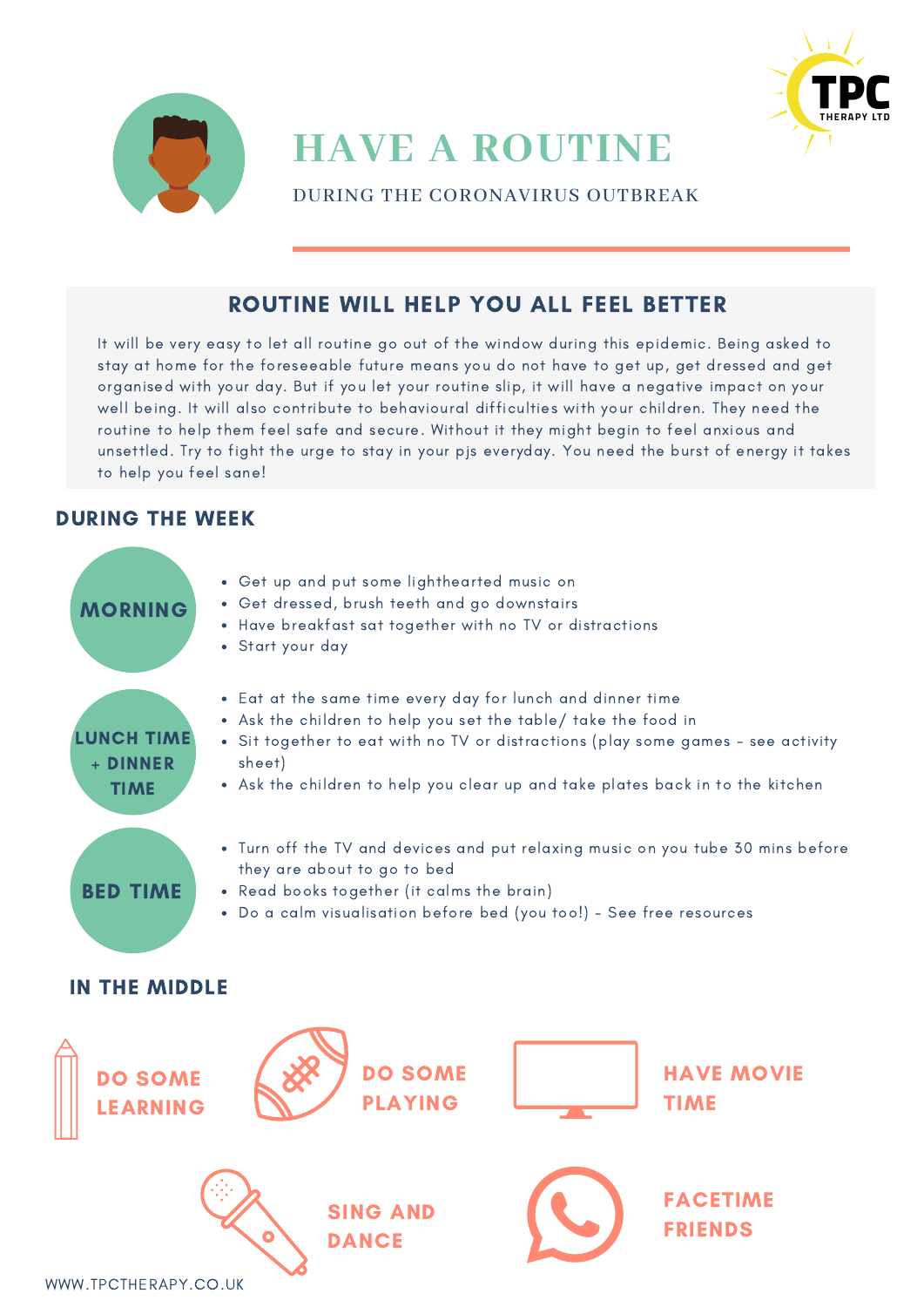



### ROUTINE WILL HELP YOU ALL FEEL BETTER

It will be very easy to let all routine go out of the window during this epidemic. Being asked to stay at home for the foreseeable future means you do not have to get up, get dressed and get organised with your day. But if you let your routine slip, it will have a negative impact on your well being. It will also contribute to behavioural difficulties with your children. They need the routine to help them feel safe and secure. Without it they might begin to feel anxious and unsettled. Try to fight the urge to stay in your pjs everyday. You need the burst of energy it takes to help you feel sane!

### DURING THE WEEK

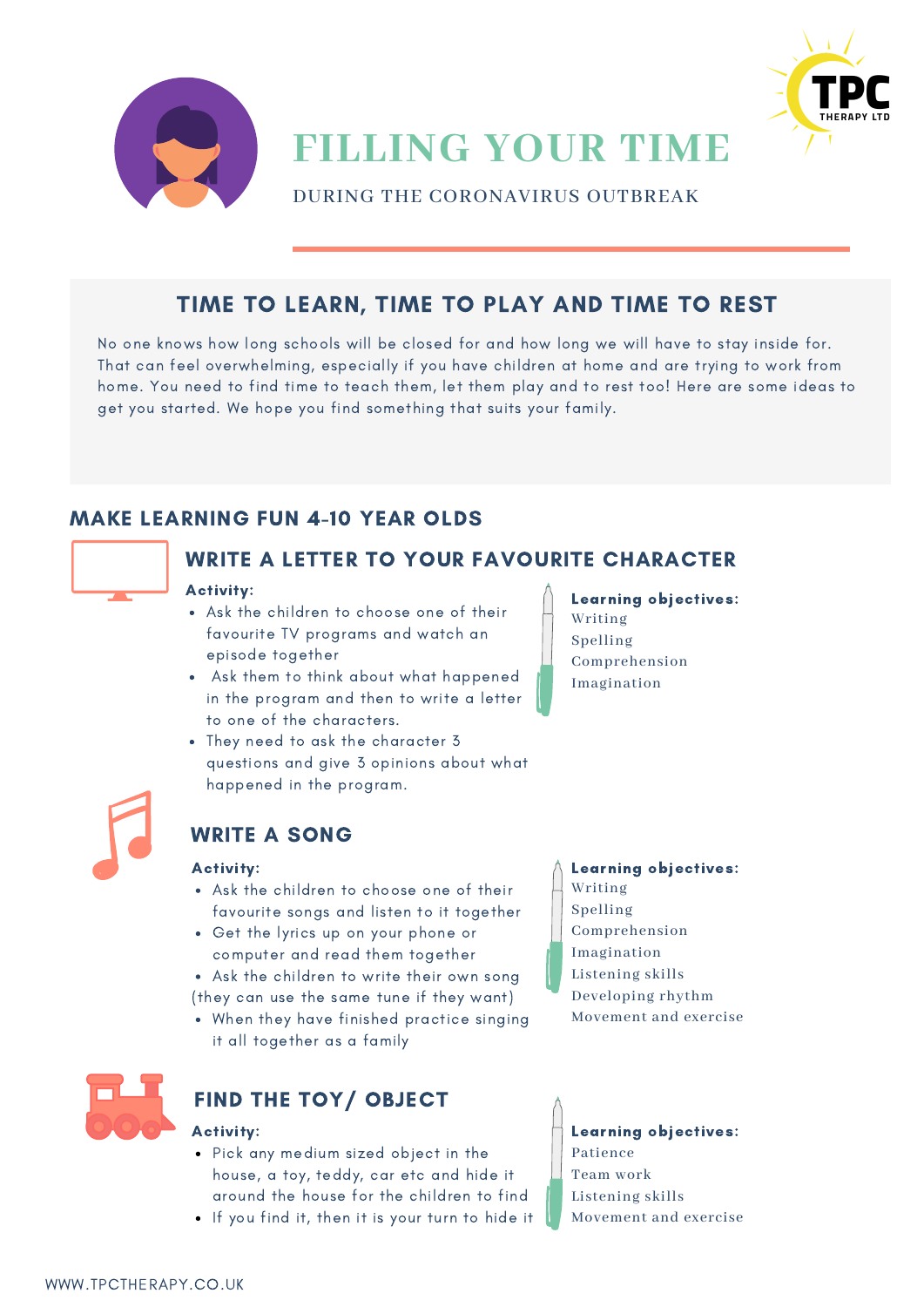



**FILLING YOUR TIME**

DURING THE CORONAVIRUS OUTBREAK

### TIME TO LEARN, TIME TO PLAY AND TIME TO REST

No one knows how long schools will be closed for and how long we will have to stay inside for. That can feel overwhelming, especially if you have children at home and are trying to work from home. You need to find time to teach them, let them play and to rest too! Here are some ideas to get you started. We hope you find something that suits your family.

### MAKE LEARNING FUN 4-10 YEAR OLDS



### WRITE A LETTER TO YOUR FAVOURITE CHARACTER

#### Activity:

- Ask the children to choose one of their favourite TV programs and watch an episode together
- Ask them to think about what happened in the program and then to write a letter to one of the characters.
- They need to ask the character 3 questions and give 3 opinions about what happened in the program.
- 

### WRITE A SONG

#### Activity:

- Ask the children to choose one of their favourite songs and listen to it together
- Get the lyrics up on your phone or computer and read them together
- Ask the children to write their own song (they can use the same tune if they want)
- When they have finished practice singing it all together as a family



### FIND THE TOY/ OBJECT

- Pick any medium sized object in the house, a toy, teddy, car etc and hide it around the house for the children to find
- If you find it, then it is your turn to hide it

Learning objectives: Writing Spelling Comprehension Imagination

#### Learning objectives: Writing Spelling Comprehension Imagination Listening skills Developing rhythm

Movement and exercise

Activity:  $\Box$  Learning objectives: Patience Team work Listening skills Movement and exercise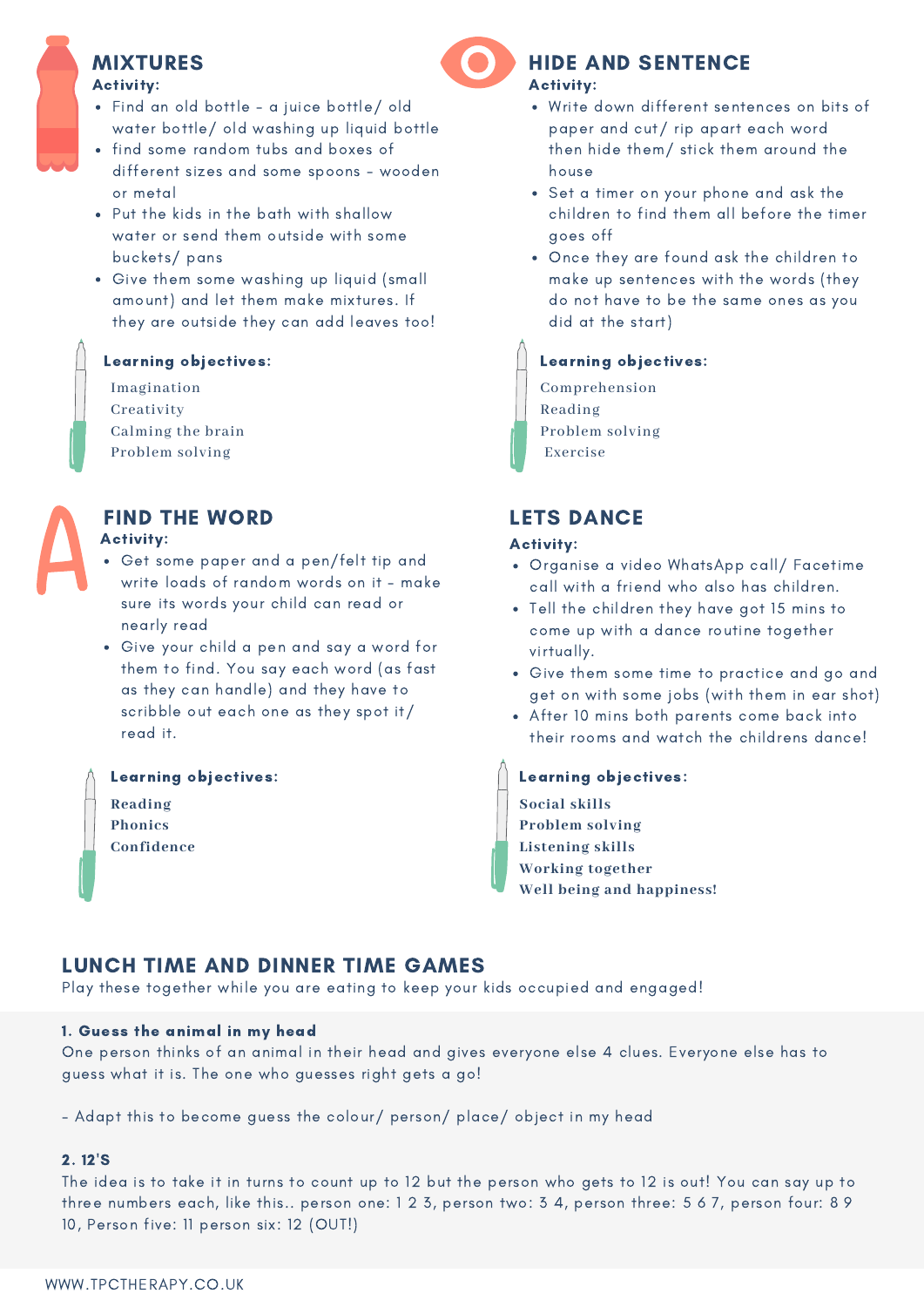## MIXTURES

#### Activity:

- Find an old bottle a juice bottle/ old water bottle/ old washing up liquid bottle
- find some random tubs and boxes of different sizes and some spoons - wooden or metal
- Put the kids in the bath with shallow water or send them outside with some buckets/ pans
- Give them some washing up liquid (small amount) and let them make mixtures. If they are outside they can add leaves too!

### Learning objectives:

Imagination Creativity Calming the brain Problem solving



### FIND THE WORD

#### Activity:

- Get some paper and a pen/felt tip and write loads of random words on it - make sure its words your child can read or nearly read
- Give your child a pen and say a word for them to find. You say each word (as fast as they can handle) and they have to scribble out each one as they spot it/ read it.

#### Learning objectives:

**Reading Phonics Confidence**

### Activity: HIDE AND SENTENCE

- Write down different sentences on bits of paper and cut/ rip apart each word then hide them/ stick them around the house
- Set a timer on your phone and ask the children to find them all before the timer goes off
- Once they are found ask the children to make up sentences with the words (they do not have to be the same ones as you did at the start)

### Learning objectives:

Comprehension Reading Problem solving Exercise

### LETS DANCE

#### Activity:

- Organise a video WhatsApp call/ Facetime call with a friend who also has children.
- Tell the children they have got 15 mins to come up with a dance routine together virtually.
- Give them some time to practice and go and get on with some jobs (with them in ear shot)
- After 10 mins both parents come back into their rooms and watch the childrens dance!

Learning objectives: **Social skills Problem solving Listening skills Working together Well being and happiness!**

### LUNCH TIME AND DINNER TIME GAMES

Play these together while you are eating to keep your kids occupied and engaged!

### 1. Guess the animal in my head

One person thinks of an animal in their head and gives everyone else 4 clues. Everyone else has to guess what it is. The one who guesses right gets a go!

- Adapt this to become guess the colour/ person/ place/ object in my head

#### 2. 12'S

The idea is to take it in turns to count up to 12 but the person who gets to 12 is out! You can say up to three numbers each, like this.. person one: 1 2 3, person two: 3 4, person three: 5 6 7, person four: 8 9 10, Person five: 11 person six: 12 (OUT!)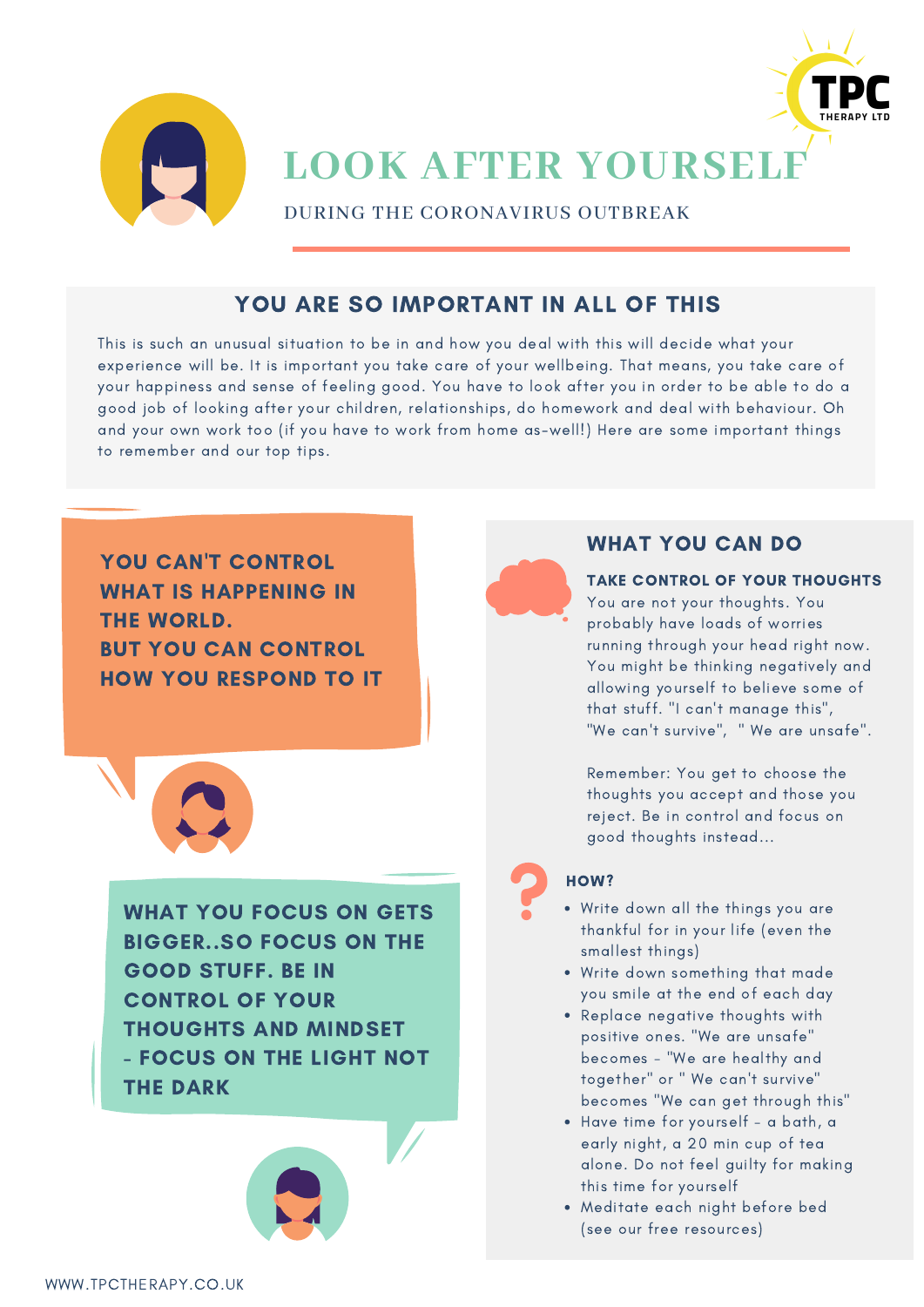



**LOOK AFTER YOURSELF**

DURING THE CORONAVIRUS OUTBREAK

### YOU ARE SO IMPORTANT IN ALL OF THIS

This is such an unusual situation to be in and how you deal with this will decide what your experience will be. It is important you take care of your wellbeing. That means, you take care of your happiness and sense of feeling good. You have to look after you in order to be able to do a good job of looking after your children, relationships, do homework and deal with behaviour. Oh and your own work too (if you have to work from home as-well!) Here are some important things to remember and our top tips.